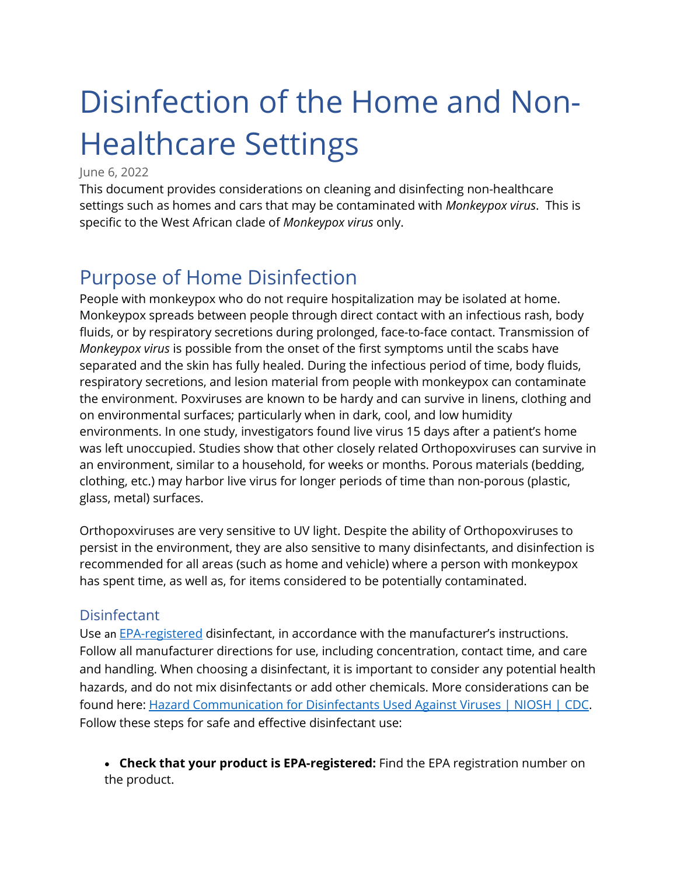# Disinfection of the Home and Non-Healthcare Settings

#### June 6, 2022

This document provides considerations on cleaning and disinfecting non-healthcare settings such as homes and cars that may be contaminated with *Monkeypox virus*. This is specific to the West African clade of *Monkeypox virus* only.

# Purpose of Home Disinfection

People with monkeypox who do not require hospitalization may be isolated at home. Monkeypox spreads between people through direct contact with an infectious rash, body fluids, or by respiratory secretions during prolonged, face-to-face contact. Transmission of *Monkeypox virus* is possible from the onset of the first symptoms until the scabs have separated and the skin has fully healed. During the infectious period of time, body fluids, respiratory secretions, and lesion material from people with monkeypox can contaminate the environment. Poxviruses are known to be hardy and can survive in linens, clothing and on environmental surfaces; particularly when in dark, cool, and low humidity environments. In one study, investigators found live virus 15 days after a patient's home was left unoccupied. Studies show that other closely related Orthopoxviruses can survive in an environment, similar to a household, for weeks or months. Porous materials (bedding, clothing, etc.) may harbor live virus for longer periods of time than non-porous (plastic, glass, metal) surfaces.

Orthopoxviruses are very sensitive to UV light. Despite the ability of Orthopoxviruses to persist in the environment, they are also sensitive to many disinfectants, and disinfection is recommended for all areas (such as home and vehicle) where a person with monkeypox has spent time, as well as, for items considered to be potentially contaminated.

#### **Disinfectant**

Use an [EPA-registered](https://www.epa.gov/pesticide-registration/disinfectants-emerging-viral-pathogens-evps-list-q) disinfectant, in accordance with the manufacturer's instructions. Follow all manufacturer directions for use, including concentration, contact time, and care and handling. When choosing a disinfectant, it is important to consider any potential health hazards, and do not mix disinfectants or add other chemicals. More considerations can be found here: [Hazard Communication for Disinfectants Used Against Viruses | NIOSH | CDC.](https://www.cdc.gov/niosh/topics/disinfectant/default.html) Follow these steps for safe and effective disinfectant use:

• **Check that your product is EPA-registered:** Find the EPA registration number on the product.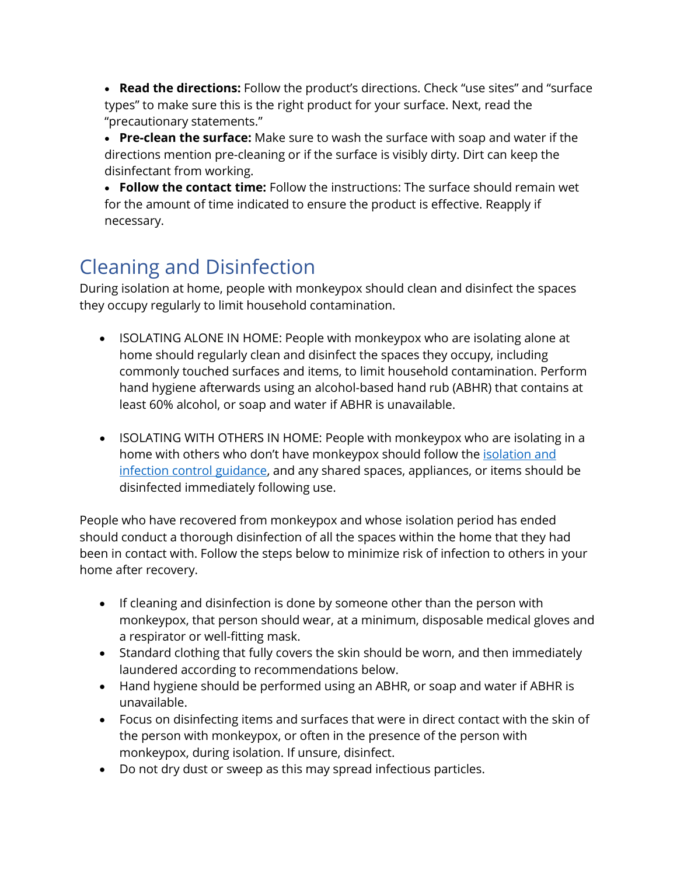• **Read the directions:** Follow the product's directions. Check "use sites" and "surface types" to make sure this is the right product for your surface. Next, read the "precautionary statements."

• **Pre-clean the surface:** Make sure to wash the surface with soap and water if the directions mention pre-cleaning or if the surface is visibly dirty. Dirt can keep the disinfectant from working.

• **Follow the contact time:** Follow the instructions: The surface should remain wet for the amount of time indicated to ensure the product is effective. Reapply if necessary.

# Cleaning and Disinfection

During isolation at home, people with monkeypox should clean and disinfect the spaces they occupy regularly to limit household contamination.

- ISOLATING ALONE IN HOME: People with monkeypox who are isolating alone at home should regularly clean and disinfect the spaces they occupy, including commonly touched surfaces and items, to limit household contamination. Perform hand hygiene afterwards using an alcohol-based hand rub (ABHR) that contains at least 60% alcohol, or soap and water if ABHR is unavailable.
- ISOLATING WITH OTHERS IN HOME: People with monkeypox who are isolating in a home with others who don't have monkeypox should follow the isolation and [infection control guidance,](https://www.cdc.gov/poxvirus/monkeypox/clinicians/infection-control-home.html) and any shared spaces, appliances, or items should be disinfected immediately following use.

People who have recovered from monkeypox and whose [isolation period has ended](https://www.cdc.gov/poxvirus/monkeypox/clinicians/isolation-procedures.html) should conduct a thorough disinfection of all the spaces within the home that they had been in contact with. Follow the steps below to minimize risk of infection to others in your home after recovery.

- If cleaning and disinfection is done by someone other than the person with monkeypox, that person should wear, at a minimum, disposable medical gloves and a respirator or well-fitting mask.
- Standard clothing that fully covers the skin should be worn, and then immediately laundered according to recommendations below.
- Hand hygiene should be performed using an ABHR, or soap and water if ABHR is unavailable.
- Focus on disinfecting items and surfaces that were in direct contact with the skin of the person with monkeypox, or often in the presence of the person with monkeypox, during isolation. If unsure, disinfect.
- Do not dry dust or sweep as this may spread infectious particles.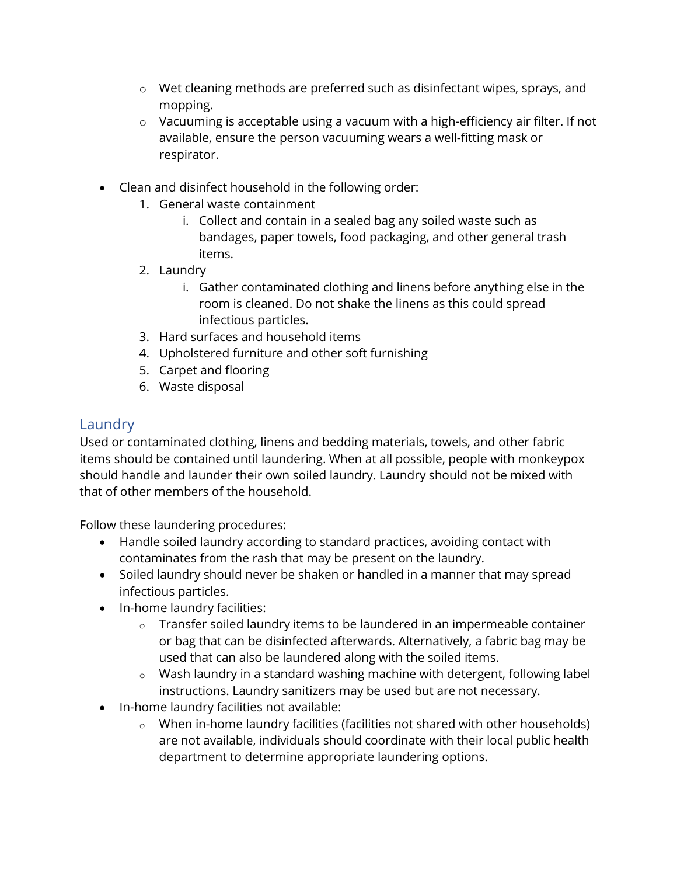- o Wet cleaning methods are preferred such as disinfectant wipes, sprays, and mopping.
- $\circ$  Vacuuming is acceptable using a vacuum with a high-efficiency air filter. If not available, ensure the person vacuuming wears a well-fitting mask or respirator.
- Clean and disinfect household in the following order:
	- 1. General waste containment
		- i. Collect and contain in a sealed bag any soiled waste such as bandages, paper towels, food packaging, and other general trash items.
	- 2. Laundry
		- i. Gather contaminated clothing and linens before anything else in the room is cleaned. Do not shake the linens as this could spread infectious particles.
	- 3. Hard surfaces and household items
	- 4. Upholstered furniture and other soft furnishing
	- 5. Carpet and flooring
	- 6. Waste disposal

#### Laundry

Used or contaminated clothing, linens and bedding materials, towels, and other fabric items should be contained until laundering. When at all possible, people with monkeypox should handle and launder their own soiled laundry. Laundry should not be mixed with that of other members of the household.

Follow these laundering procedures:

- Handle soiled laundry according to standard practices, avoiding contact with contaminates from the rash that may be present on the laundry.
- Soiled laundry should never be shaken or handled in a manner that may spread infectious particles.
- In-home laundry facilities:
	- o Transfer soiled laundry items to be laundered in an impermeable container or bag that can be disinfected afterwards. Alternatively, a fabric bag may be used that can also be laundered along with the soiled items.
	- o Wash laundry in a standard washing machine with detergent, following label instructions. Laundry sanitizers may be used but are not necessary.
- In-home laundry facilities not available:
	- o When in-home laundry facilities (facilities not shared with other households) are not available, individuals should coordinate with their local public health department to determine appropriate laundering options.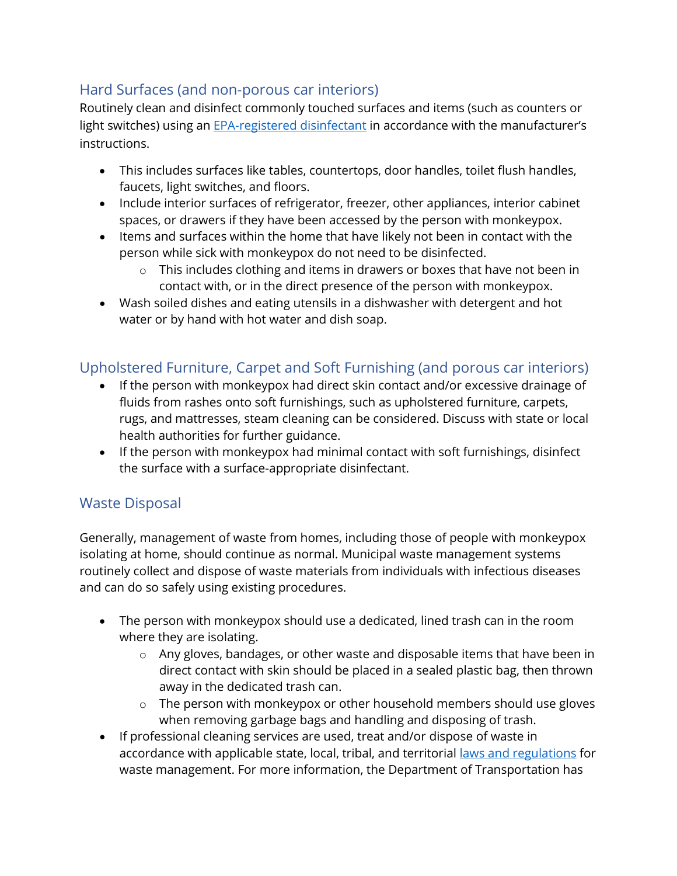## Hard Surfaces (and non-porous car interiors)

Routinely clean and disinfect commonly touched surfaces and items (such as counters or light switches) using an [EPA-registered disinfectant](https://www.epa.gov/pesticide-registration/disinfectants-emerging-viral-pathogens-evps-list-q) in accordance with the manufacturer's instructions.

- This includes surfaces like tables, countertops, door handles, toilet flush handles, faucets, light switches, and floors.
- Include interior surfaces of refrigerator, freezer, other appliances, interior cabinet spaces, or drawers if they have been accessed by the person with monkeypox.
- Items and surfaces within the home that have likely not been in contact with the person while sick with monkeypox do not need to be disinfected.
	- o This includes clothing and items in drawers or boxes that have not been in contact with, or in the direct presence of the person with monkeypox.
- Wash soiled dishes and eating utensils in a dishwasher with detergent and hot water or by hand with hot water and dish soap.

## Upholstered Furniture, Carpet and Soft Furnishing (and porous car interiors)

- If the person with monkeypox had direct skin contact and/or excessive drainage of fluids from rashes onto soft furnishings, such as upholstered furniture, carpets, rugs, and mattresses, steam cleaning can be considered. Discuss with state or local health authorities for further guidance.
- If the person with monkeypox had minimal contact with soft furnishings, disinfect the surface with a surface-appropriate disinfectant.

## Waste Disposal

Generally, management of waste from homes, including those of people with monkeypox isolating at home, should continue as normal. Municipal waste management systems routinely collect and dispose of waste materials from individuals with infectious diseases and can do so safely using existing procedures.

- The person with monkeypox should use a dedicated, lined trash can in the room where they are isolating.
	- o Any gloves, bandages, or other waste and disposable items that have been in direct contact with skin should be placed in a sealed plastic bag, then thrown away in the dedicated trash can.
	- o The person with monkeypox or other household members should use gloves when removing garbage bags and handling and disposing of trash.
- If professional cleaning services are used, treat and/or dispose of waste in accordance with applicable state, local, tribal, and territorial [laws and regulations](https://www.hercenter.org/contact.php) for waste management. For more information, the Department of Transportation has